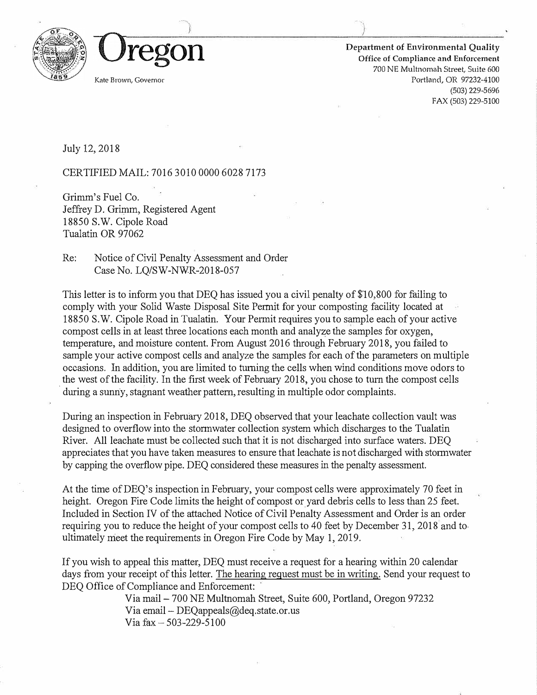

**Department of Environmental Quality Office of Compliance and Enforcement 700 NE Multnomah Street, Suite 600**  Portland, OR 97232-4100 (503) 229-5696 FAX (503) 229-5100

July 12, 2018

CERTIFIED MAIL: 7016 3010 0000 6028 7173

Grimm's Fuel Co. Jeffrey D. Grimm, Registered Agent 18850 S.W. Cipole Road Tualatin OR 97062

Re: Notice of Civil Penalty Assessment and Order Case No. LQ/SW-NWR-2018-057

This letter is to inform you that DEQ has issued you a civil penalty of \$10,800 for failing to comply with your Solid Waste Disposal Site Permit for your composting facility located at 18850 S.W. Cipole Road in Tualatin. Your Permit requires you to sample each of your active compost cells in at least three locations each month and analyze the samples for oxygen, temperature, and moisture content. From August 2016 through February 2018, you failed to sample your active compost cells and analyze the samples for each of the parameters on multiple occasions. In addition, you are limited to turning the cells when wind conditions move odors to the west of the facility. In the first week of February 2018, you chose to turn the compost cells during a sunny, stagnant weather pattern, resulting in multiple odor complaints.

During an inspection in February 2018, DEQ observed that your leachate collection vault was designed to overflow into the stormwater collection system which discharges to the Tualatin River. All leachate must be collected such that it is not discharged into surface waters. DEQ appreciates that you have taken measures to ensure that leachate is not discharged with stormwater by capping the overflow pipe. DEQ considered these measures in the penalty assessment.

At the time of DEQ's inspection in February, your compost cells were approximately 70 feet in height. Oregon Fire Code limits the height of compost or yard debris cells to less than 25 feet. Included in Section IV of the attached Notice of Civil Penalty Assessment and Order is an order requiring you to reduce the height of your compost cells to 40 feet by December 31, 2018 and to. ultimately meet the requirements in Oregon Fire Code by May 1, 2019.

If you wish to appeal this matter, DEQ must receive a request for a hearing within 20 calendar days from your receipt of this letter. The hearing request must be in writing. Send your request to DEQ Office of Compliance and Enforcement:

Via mail - 700 NE Multnomah Street, Suite 600, Portland, Oregon 97232 Via email- DEQappeals@deq.state.or.us Via fax- 503-229-5100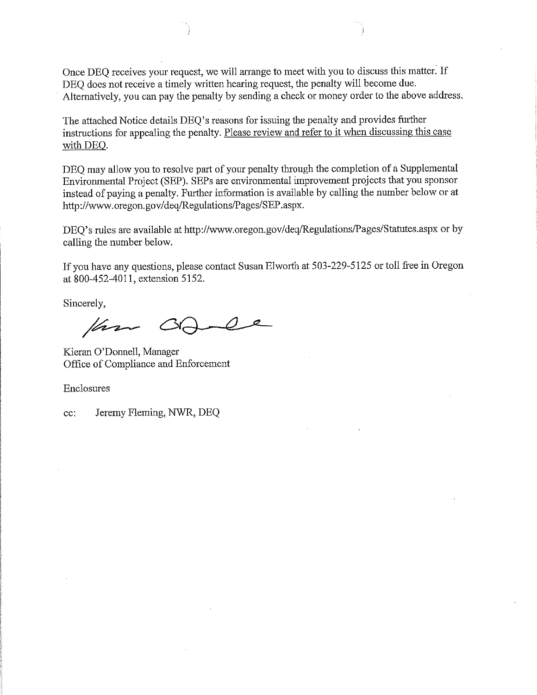Once DEQ receives your request, we will arrange to meet with you to discuss this matter. If DEO does not receive a timely written hearing request, the penalty will become due. Alternatively, you can pay the penalty by sending a check or money order to the above address.

The attached Notice details DEQ's reasons for issuing the penalty and provides further instructions for appealing the penalty. Please review and refer to it when discussing this case with DEQ.

DEO may allow you to resolve part of your penalty through the completion of a Supplemental Environmental Project (SEP). SEPs are environmental improvement projects that you sponsor instead of paying a penalty. Further information is available by calling the number below or at http://www.oregon.gov/deg/Regulations/Pages/SEP.aspx.

DEQ's rules are available at http://www.oregon.gov/deq/Regulations/Pages/Statutes.aspx or by calling the number below.

If you have any questions, please contact Susan Elworth at 503-229-5125 or toll free in Oregon at 800-452-4011, extension 5152.

Sincerely,

Var

Kieran O'Donnell, Manager Office of Compliance and Enforcement

Enclosures

Jeremy Fleming, NWR, DEQ cc: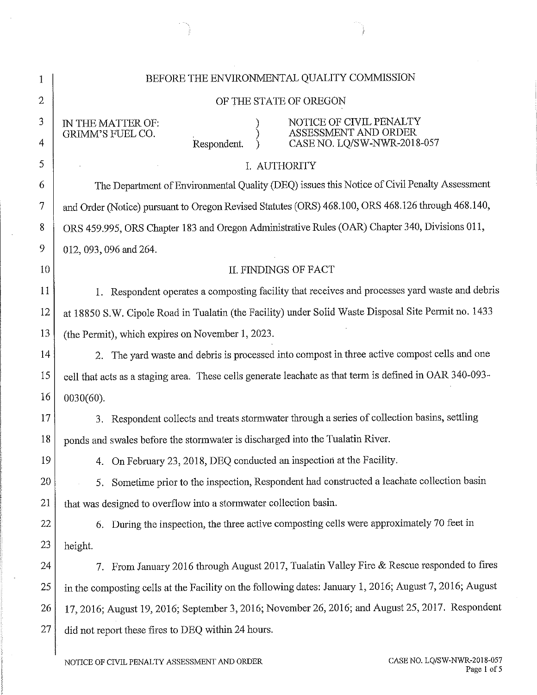| 1              | BEFORE THE ENVIRONMENTAL QUALITY COMMISSION                                                                                         |  |  |
|----------------|-------------------------------------------------------------------------------------------------------------------------------------|--|--|
| $\overline{2}$ | OF THE STATE OF OREGON                                                                                                              |  |  |
| 3<br>4         | NOTICE OF CIVIL PENALTY ASSESSMENT AND ORDER<br>IN THE MATTER OF:<br>GRIMM'S FUEL CO.<br>CASE NO. LQ/SW-NWR-2018-057<br>Respondent. |  |  |
| 5              | I. AUTHORITY                                                                                                                        |  |  |
| 6              | The Department of Environmental Quality (DEQ) issues this Notice of Civil Penalty Assessment                                        |  |  |
| 7              | and Order (Notice) pursuant to Oregon Revised Statutes (ORS) 468.100, ORS 468.126 through 468.140,                                  |  |  |
| 8              | ORS 459.995, ORS Chapter 183 and Oregon Administrative Rules (OAR) Chapter 340, Divisions 011,                                      |  |  |
| 9              | 012, 093, 096 and 264.                                                                                                              |  |  |
| 10             | II. FINDINGS OF FACT                                                                                                                |  |  |
| <sup>11</sup>  | 1. Respondent operates a composting facility that receives and processes yard waste and debris                                      |  |  |
| 12             | at 18850 S.W. Cipole Road in Tualatin (the Facility) under Solid Waste Disposal Site Permit no. 1433                                |  |  |
| 13             | (the Permit), which expires on November 1, 2023.                                                                                    |  |  |
| 14             | 2. The yard waste and debris is processed into compost in three active compost cells and one                                        |  |  |
| 15             | cell that acts as a staging area. These cells generate leachate as that term is defined in OAR 340-093-                             |  |  |
| 16             | $0030(60)$ .                                                                                                                        |  |  |
| 17             | Respondent collects and treats stormwater through a series of collection basins, settling<br>3.                                     |  |  |
| 18             | ponds and swales before the stormwater is discharged into the Tualatin River.                                                       |  |  |
| 19             | On February 23, 2018, DEQ conducted an inspection at the Facility.<br>4.                                                            |  |  |
| 20             | 5. Sometime prior to the inspection, Respondent had constructed a leachate collection basin                                         |  |  |
| 21             | that was designed to overflow into a stormwater collection basin.                                                                   |  |  |
| 22             | During the inspection, the three active composting cells were approximately 70 feet in<br>6.                                        |  |  |
| 23             | height.                                                                                                                             |  |  |
| 24             | 7. From January 2016 through August 2017, Tualatin Valley Fire & Rescue responded to fires                                          |  |  |
| 25             | in the composting cells at the Facility on the following dates: January 1, 2016; August 7, 2016; August                             |  |  |
| 26             | 17, 2016; August 19, 2016; September 3, 2016; November 26, 2016; and August 25, 2017. Respondent                                    |  |  |
| 27             | did not report these fires to DEQ within 24 hours.                                                                                  |  |  |
|                |                                                                                                                                     |  |  |

 $\mathcal{L}_{\mathcal{A}}$ 

 $\bar{z}$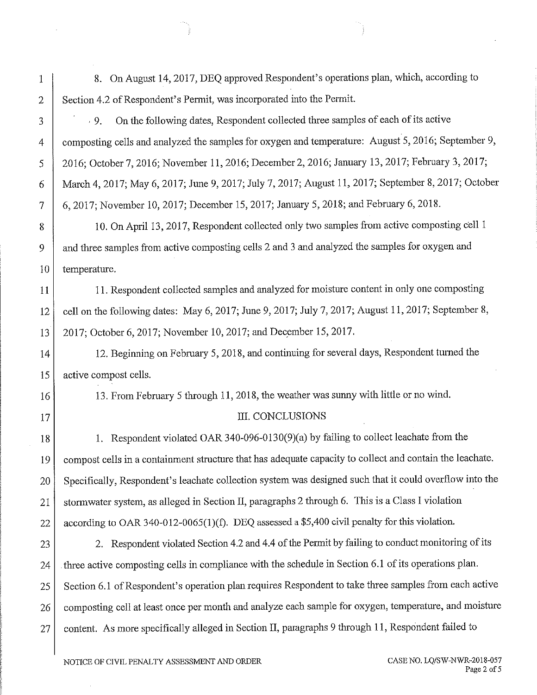- 8. On August 14, 2017, DEO approved Respondent's operations plan, which, according to Section 4.2 of Respondent's Permit, was incorporated into the Permit.
- On the following dates, Respondent collected three samples of each of its active  $.9.$ composting cells and analyzed the samples for oxygen and temperature: August 5, 2016; September 9, 2016; October 7, 2016; November 11, 2016; December 2, 2016; January 13, 2017; February 3, 2017; March 4, 2017; May 6, 2017; June 9, 2017; July 7, 2017; August 11, 2017; September 8, 2017; October 6, 2017; November 10, 2017; December 15, 2017; January 5, 2018; and February 6, 2018.

10. On April 13, 2017, Respondent collected only two samples from active composting cell 1 and three samples from active composting cells 2 and 3 and analyzed the samples for oxygen and temperature.

11. Respondent collected samples and analyzed for moisture content in only one composting cell on the following dates: May 6, 2017; June 9, 2017; July 7, 2017; August 11, 2017; September 8, 2017; October 6, 2017; November 10, 2017; and December 15, 2017.

12. Beginning on February 5, 2018, and continuing for several days, Respondent turned the active compost cells.

13. From February 5 through 11, 2018, the weather was sunny with little or no wind.

## III. CONCLUSIONS

1. Respondent violated OAR 340-096-0130(9)(a) by failing to collect leachate from the compost cells in a containment structure that has adequate capacity to collect and contain the leachate. Specifically, Respondent's leachate collection system was designed such that it could overflow into the stormwater system, as alleged in Section II, paragraphs 2 through 6. This is a Class I violation according to OAR 340-012-0065(1)(f). DEQ assessed a \$5,400 civil penalty for this violation.

2. Respondent violated Section 4.2 and 4.4 of the Permit by failing to conduct monitoring of its 23 three active composting cells in compliance with the schedule in Section 6.1 of its operations plan. 24 Section 6.1 of Respondent's operation plan requires Respondent to take three samples from each active 25 composting cell at least once per month and analyze each sample for oxygen, temperature, and moisture 26 content. As more specifically alleged in Section II, paragraphs 9 through 11, Respondent failed to 27

 $\mathbf{1}$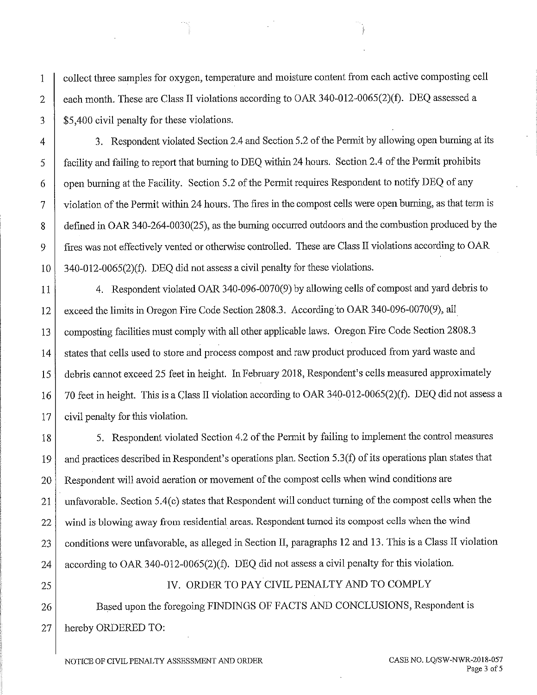collect three samples for oxygen, temperature and moisture content from each active composting cell  $\mathbf{1}$ each month. These are Class II violations according to OAR 340-012-0065(2)(f). DEQ assessed a  $\overline{2}$ 3 \$5,400 civil penalty for these violations.

3. Respondent violated Section 2.4 and Section 5.2 of the Permit by allowing open burning at its 4 facility and failing to report that burning to DEQ within 24 hours. Section 2.4 of the Permit prohibits 5 open burning at the Facility. Section 5.2 of the Permit requires Respondent to notify DEQ of any 6 violation of the Permit within 24 hours. The fires in the compost cells were open burning, as that term is  $\overline{7}$ defined in OAR 340-264-0030(25), as the burning occurred outdoors and the combustion produced by the 8 fires was not effectively vented or otherwise controlled. These are Class II violations according to OAR 9 340-012-0065(2)(f). DEO did not assess a civil penalty for these violations. 10

4. Respondent violated OAR 340-096-0070(9) by allowing cells of compost and yard debris to 11 exceed the limits in Oregon Fire Code Section 2808.3. According to OAR 340-096-0070(9), all 12 composting facilities must comply with all other applicable laws. Oregon Fire Code Section 2808.3 13 states that cells used to store and process compost and raw product produced from yard waste and 14 debris cannot exceed 25 feet in height. In February 2018, Respondent's cells measured approximately 15 70 feet in height. This is a Class II violation according to OAR 340-012-0065(2)(f). DEQ did not assess a 16 civil penalty for this violation. 17

5. Respondent violated Section 4.2 of the Permit by failing to implement the control measures 18 and practices described in Respondent's operations plan. Section 5.3(f) of its operations plan states that 19 Respondent will avoid aeration or movement of the compost cells when wind conditions are 20 unfavorable. Section 5.4(c) states that Respondent will conduct turning of the compost cells when the 21 wind is blowing away from residential areas. Respondent turned its compost cells when the wind 22 conditions were unfavorable, as alleged in Section II, paragraphs 12 and 13. This is a Class II violation 23 according to OAR 340-012-0065(2)(f). DEQ did not assess a civil penalty for this violation. 24

IV. ORDER TO PAY CIVIL PENALTY AND TO COMPLY 25 Based upon the foregoing FINDINGS OF FACTS AND CONCLUSIONS, Respondent is 26 hereby ORDERED TO: 27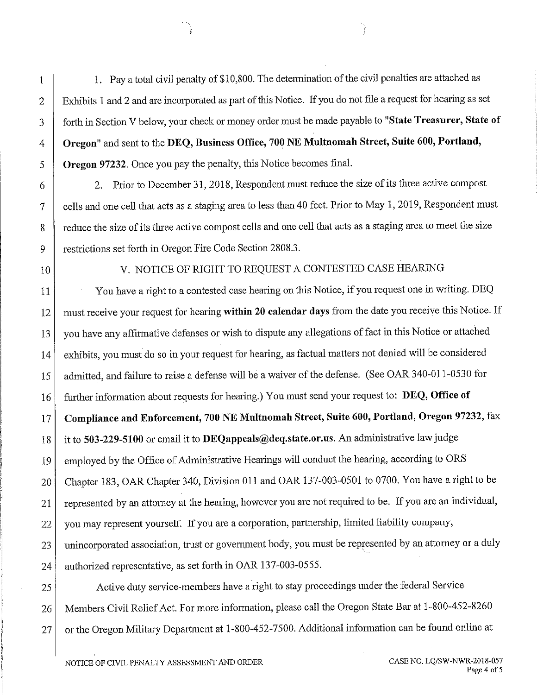1. Pay a total civil penalty of \$10,800. The determination of the civil penalties are attached as Exhibits 1 and 2 and are incorporated as part of this Notice. If you do not file a request for hearing as set forth in Section V below, your check or money order must be made payable to "State Treasurer, State of Oregon" and sent to the DEQ, Business Office, 700 NE Multnomah Street, Suite 600, Portland, **Oregon 97232.** Once you pay the penalty, this Notice becomes final.

2. Prior to December 31, 2018, Respondent must reduce the size of its three active compost cells and one cell that acts as a staging area to less than 40 feet. Prior to May 1, 2019, Respondent must reduce the size of its three active compost cells and one cell that acts as a staging area to meet the size restrictions set forth in Oregon Fire Code Section 2808.3.

10

 $\mathbf{1}$ 

 $\overline{2}$ 

3

4

5

6

7

8

9

# V. NOTICE OF RIGHT TO REQUEST A CONTESTED CASE HEARING

You have a right to a contested case hearing on this Notice, if you request one in writing. DEQ 11 must receive your request for hearing within 20 calendar days from the date you receive this Notice. If 12 you have any affirmative defenses or wish to dispute any allegations of fact in this Notice or attached 13 exhibits, you must do so in your request for hearing, as factual matters not denied will be considered 14 admitted, and failure to raise a defense will be a waiver of the defense. (See OAR 340-011-0530 for 15 further information about requests for hearing.) You must send your request to: DEQ, Office of 16 Compliance and Enforcement, 700 NE Multnomah Street, Suite 600, Portland, Oregon 97232, fax 17 it to 503-229-5100 or email it to DEQappeals@deq.state.or.us. An administrative law judge 18 employed by the Office of Administrative Hearings will conduct the hearing, according to ORS 19 Chapter 183, OAR Chapter 340, Division 011 and OAR 137-003-0501 to 0700. You have a right to be 20 represented by an attorney at the hearing, however you are not required to be. If you are an individual, 21 you may represent yourself. If you are a corporation, partnership, limited liability company, 22 unincorporated association, trust or government body, you must be represented by an attorney or a duly 23 authorized representative, as set forth in OAR 137-003-0555. 24

Active duty service-members have a right to stay proceedings under the federal Service 25 Members Civil Relief Act. For more information, please call the Oregon State Bar at 1-800-452-8260 26 or the Oregon Military Department at 1-800-452-7500. Additional information can be found online at 27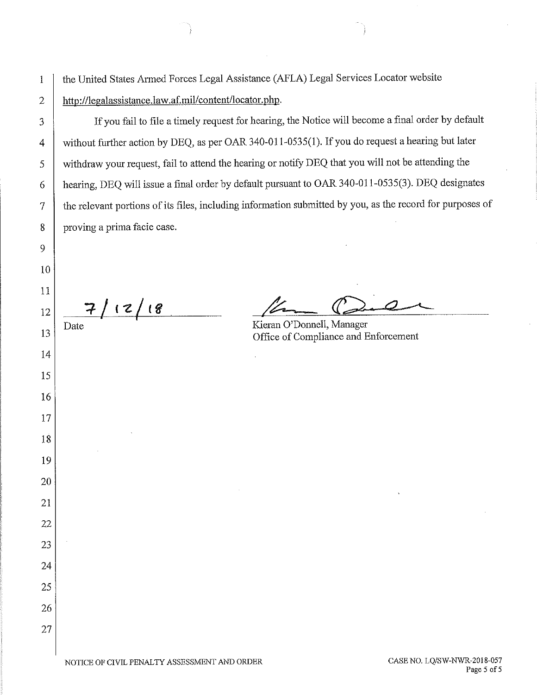the United States Armed Forces Legal Assistance (AFLA) Legal Services Locator website http://legalassistance.law.af.mil/content/locator.php.

If you fail to file a timely request for hearing, the Notice will become a final order by default without further action by DEQ, as per OAR 340-011-0535(1). If you do request a hearing but later withdraw your request, fail to attend the hearing or notify DEQ that you will not be attending the hearing, DEQ will issue a final order by default pursuant to OAR 340-011-0535(3). DEQ designates the relevant portions of its files, including information submitted by you, as the record for purposes of proving a prima facie case.

11  $7/12/18$ 12 Date 13 14

 $\mathbf{1}$ 

 $\overline{2}$ 

3

 $\overline{4}$ 

5

6

 $\overline{7}$ 

8

9

10

15

16

17

18

19

20

21

22

23

24

25

26

27

Kieran O'Donnell, Manager Office of Compliance and Enforcement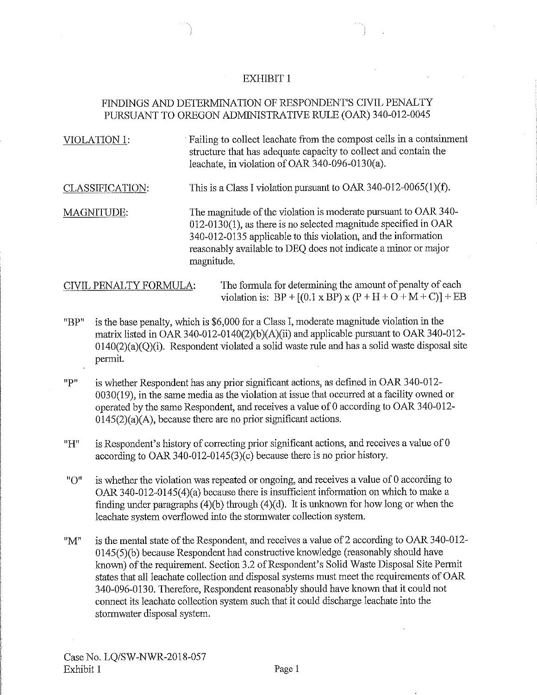#### **EXHIBIT 1**

## FINDINGS AND DETERMINATION OF RESPONDENT'S CIVIL PENALTY PURSUANT TO OREGON ADMINISTRATIVE RULE (OAR) 340-012-0045

| VIOLATION 1:           | Failing to collect leachate from the compost cells in a containment<br>structure that has adequate capacity to collect and contain the<br>leachate, in violation of OAR 340-096-0130(a).                                                                                                |
|------------------------|-----------------------------------------------------------------------------------------------------------------------------------------------------------------------------------------------------------------------------------------------------------------------------------------|
| CLASSIFICATION:        | This is a Class I violation pursuant to OAR 340-012-0065(1)(f).                                                                                                                                                                                                                         |
| MAGNITUDE:             | The magnitude of the violation is moderate pursuant to OAR 340-<br>$012-0130(1)$ , as there is no selected magnitude specified in OAR<br>340-012-0135 applicable to this violation, and the information<br>reasonably available to DEQ does not indicate a minor or major<br>magnitude. |
| CIVIL PENALTY FORMULA: | The formula for determining the amount of penalty of each                                                                                                                                                                                                                               |

"BP" is the base penalty, which is \$6,000 for a Class I, moderate magnitude violation in the matrix listed in OAR 340-012-0140(2)(b)(A)(ii) and applicable pursuant to OAR 340-012- $0140(2)(a)(Q)(i)$ . Respondent violated a solid waste rule and has a solid waste disposal site permit.

violation is:  $BP + [(0.1 \times BP) \times (P + H + O + M + C)] + EB$ 

"P" is whether Respondent has any prior significant actions, as defined in OAR 340-012-0030(19), in the same media as the violation at issue that occurred at a facility owned or operated by the same Respondent, and receives a value of 0 according to OAR 340-012- $0145(2)(a)(A)$ , because there are no prior significant actions.

"H" is Respondent's history of correcting prior significant actions, and receives a value of 0 according to OAR 340-012-0145(3)(c) because there is no prior history.

 $"O"$ is whether the violation was repeated or ongoing, and receives a value of 0 according to OAR 340-012-0145(4)(a) because there is insufficient information on which to make a finding under paragraphs  $(4)(b)$  through  $(4)(d)$ . It is unknown for how long or when the leachate system overflowed into the stormwater collection system.

is the mental state of the Respondent, and receives a value of 2 according to OAR 340-012- $"M"$ 0145(5)(b) because Respondent had constructive knowledge (reasonably should have known) of the requirement. Section 3.2 of Respondent's Solid Waste Disposal Site Permit states that all leachate collection and disposal systems must meet the requirements of OAR 340-096-0130. Therefore, Respondent reasonably should have known that it could not connect its leachate collection system such that it could discharge leachate into the stormwater disposal system.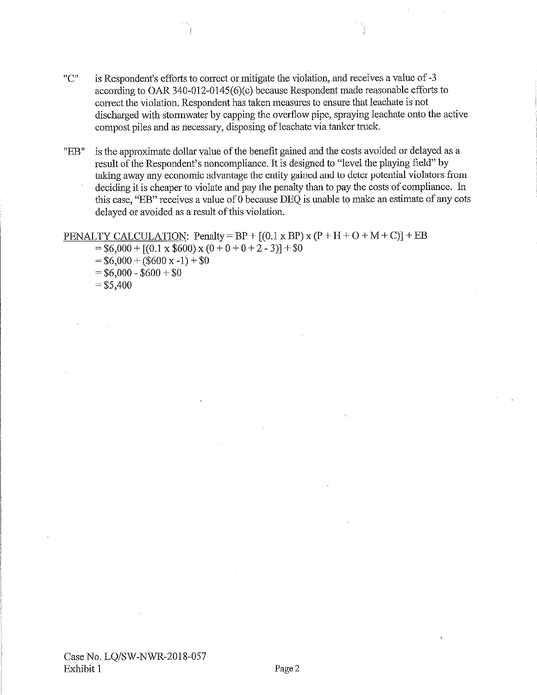- $"C"$ is Respondent's efforts to correct or mitigate the violation, and receives a value of -3 according to OAR 340-012-0145( $6$ )(c) because Respondent made reasonable efforts to correct the violation. Respondent has taken measures to ensure that leachate is not discharged with stormwater by capping the overflow pipe, spraying leachate onto the active compost piles and as necessary, disposing of leachate via tanker truck.
- is the approximate dollar value of the benefit gained and the costs avoided or delayed as a "EB" result of the Respondent's noncompliance. It is designed to "level the playing field" by taking away any economic advantage the entity gained and to deter potential violators from deciding it is cheaper to violate and pay the penalty than to pay the costs of compliance. In this case, "EB" receives a value of 0 because DEQ is unable to make an estimate of any cots delayed or avoided as a result of this violation.

#### PENALTY CALCULATION: Penalty = BP +  $[(0.1 \times BP) \times (P + H + O + M + C)] + EB$

- $= $6,000 + [(0.1 \times $600) \times (0 + 0 + 0 + 2 3)] + $0$
- $= $6,000 + ($600 x -1) + $0$
- $= $6,000 $600 + $0$
- $= $5,400$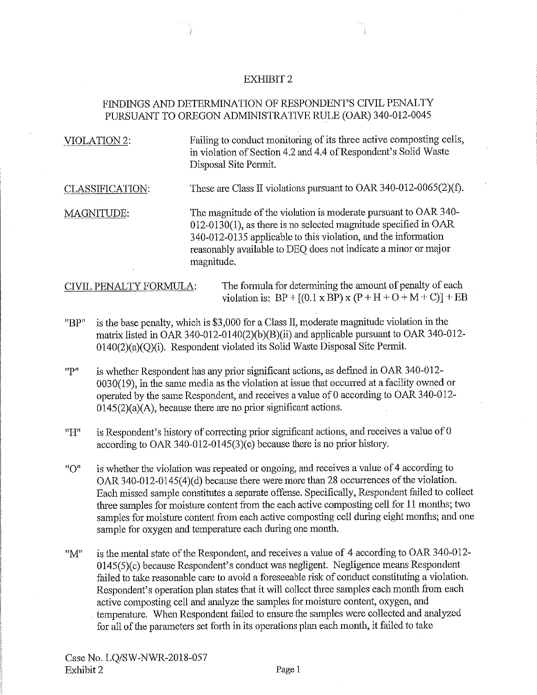#### **EXHIBIT 2**

## FINDINGS AND DETERMINATION OF RESPONDENT'S CIVIL PENALTY PURSUANT TO OREGON ADMINISTRATIVE RULE (OAR) 340-012-0045

| <b>VIOLATION 2:</b>                                                                 | Failing to conduct monitoring of its three active composting cells,<br>in violation of Section 4.2 and 4.4 of Respondent's Solid Waste<br>Disposal Site Permit.                                                                                                                         |  |  |  |
|-------------------------------------------------------------------------------------|-----------------------------------------------------------------------------------------------------------------------------------------------------------------------------------------------------------------------------------------------------------------------------------------|--|--|--|
| CLASSIFICATION:                                                                     | These are Class II violations pursuant to OAR 340-012-0065(2)(f).                                                                                                                                                                                                                       |  |  |  |
| <b>MAGNITUDE:</b>                                                                   | The magnitude of the violation is moderate pursuant to OAR 340-<br>$012-0130(1)$ , as there is no selected magnitude specified in OAR<br>340-012-0135 applicable to this violation, and the information<br>reasonably available to DEQ does not indicate a minor or major<br>magnitude. |  |  |  |
| The formula for determining the amount of penalty of each<br>CIVIL PENALTY FORMULA: |                                                                                                                                                                                                                                                                                         |  |  |  |

is the base penalty, which is \$3,000 for a Class II, moderate magnitude violation in the "BP" matrix listed in OAR 340-012-0140(2)(b)(B)(ii) and applicable pursuant to OAR 340-012- $0140(2)(a)(Q)(i)$ . Respondent violated its Solid Waste Disposal Site Permit.

violation is:  $BP + [(0.1 \times BP) \times (P + H + O + M + C)] + EB$ 

- "P" is whether Respondent has any prior significant actions, as defined in OAR 340-012-0030(19), in the same media as the violation at issue that occurred at a facility owned or operated by the same Respondent, and receives a value of 0 according to OAR 340-012- $0145(2)(a)(A)$ , because there are no prior significant actions.
- $"H"$ is Respondent's history of correcting prior significant actions, and receives a value of 0 according to OAR 340-012-0145(3)(c) because there is no prior history.
- is whether the violation was repeated or ongoing, and receives a value of 4 according to  $"O"$ OAR 340-012-0145(4)(d) because there were more than 28 occurrences of the violation. Each missed sample constitutes a separate offense. Specifically, Respondent failed to collect three samples for moisture content from the each active composting cell for 11 months; two samples for moisture content from each active composting cell during eight months; and one sample for oxygen and temperature each during one month.
- is the mental state of the Respondent, and receives a value of 4 according to OAR 340-012-"M" 0145(5)(c) because Respondent's conduct was negligent. Negligence means Respondent failed to take reasonable care to avoid a foreseeable risk of conduct constituting a violation. Respondent's operation plan states that it will collect three samples each month from each active composting cell and analyze the samples for moisture content, oxygen, and temperature. When Respondent failed to ensure the samples were collected and analyzed for all of the parameters set forth in its operations plan each month, it failed to take